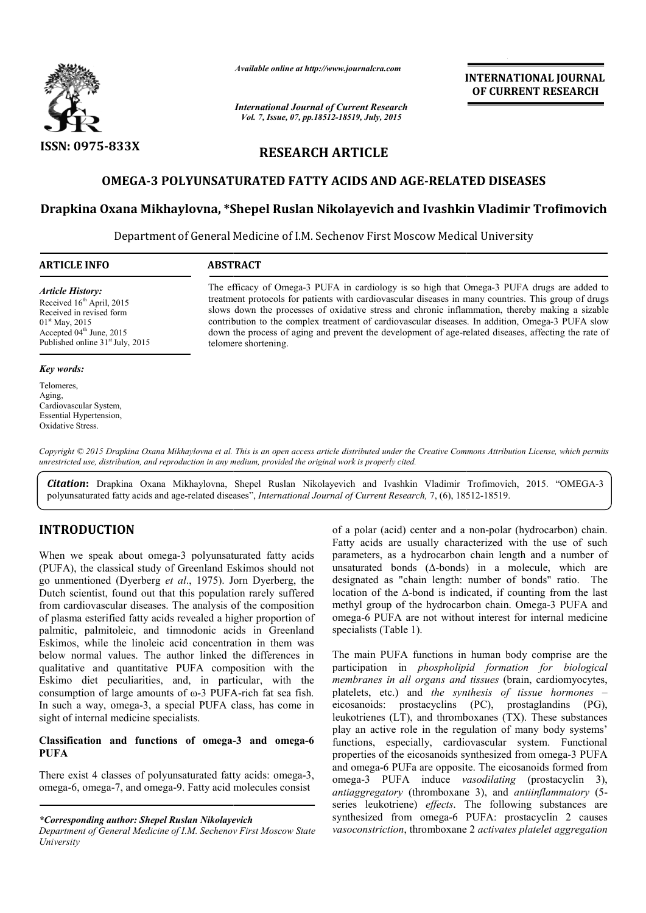

*Available online at http://www.journalcra.com*

*International Journal of Current Research Vol. 7, Issue, 07, pp.18512-18519, July, 2015*

**INTERNATIONAL INTERNATIONAL JOURNAL OF CURRENT RESEARCH** 

# **RESEARCH ARTICLE**

## OMEGA-3 POLYUNSATURATED FATTY ACIDS AND AGE-RELATED DISEASES

## **Drapkina Oxana Mikhaylovna, \*Shepel Ruslan Nikolayevich and Shepel Ivashkin Vladimir Trofimovich**

Department of General Medicine of I.M. Sechenov First Moscow Medical University

| <b>ARTICLE INFO</b>                | <b>ABSTRACT</b>                                                                                      |  |  |
|------------------------------------|------------------------------------------------------------------------------------------------------|--|--|
| <b>Article History:</b>            | The efficacy of Omega-3 PUFA in cardiology is so high that Omega-3 PUFA drugs are added to           |  |  |
| Received $16th$ April, 2015        | treatment protocols for patients with cardiovascular diseases in many countries. This group of drugs |  |  |
| Received in revised form           | slows down the processes of oxidative stress and chronic inflammation, thereby making a sizable      |  |  |
| $01st$ May, 2015                   | contribution to the complex treatment of cardiovascular diseases. In addition, Omega-3 PUFA slow     |  |  |
| Accepted $04th$ June, 2015         | down the process of aging and prevent the development of age-related diseases, affecting the rate of |  |  |
| Published online $31st$ July, 2015 | telomere shortening.                                                                                 |  |  |

#### *Key words:*

Telomeres, Aging, Cardiovascular System, Essential Hypertension, Oxidative Stress.

*Copyright © 2015 Drapkina Oxana Mikhaylovna et al. This is an open access article distributed under the Creative Commons Att Commons Attribution License, which permits unrestricted use, distribution, and reproduction in any medium, provided the original work is properly cited.*

*Citation***:** Drapkina Oxana Mikhaylovna, Shepel Ruslan Nikolayevich and Ivashkin Vladimir Vladimir Trofimovich, 2015. "OMEGA-3 polyunsaturated fatty acids and age-related diseases", *International Journal of Current Research*, 7, (6), 18512-18519.

## **INTRODUCTION**

When we speak about omega-3 polyunsaturated fatty acids (PUFA), the classical study of Greenland Eskimos should not go unmentioned (Dyerberg *et al*., 1975). Jorn Dyerberg Dutch scientist, found out that this population rarely suffered from cardiovascular diseases. The analysis of the composition of plasma esterified fatty acids revealed a higher proportion of palmitic, palmitoleic, and timnodonic acids in Greenland Eskimos, while the linoleic acid concentration in them was below normal values. The author linked the differences in qualitative and quantitative PUFA composition with the Eskimo diet peculiarities, and, in particular, with the consumption of large amounts of ω-3 PUFA In such a way, omega-3, a special PUFA class, has come in sight of internal medicine specialists. 3 polyunsaturated fatty acids<br>Greenland Eskimos should not<br>*ul.*, 1975). Jorn Dyerberg, the kimos, while the linoleic acid concentration in them was<br>low normal values. The author linked the differences in<br>alitative and quantitative PUFA composition with the<br>kimo diet peculiarities, and, in particular, with the<br>n 9. of a polar (acid) center and a non<br>
9. of a polyumsaturated fatty acids are usually character<br>
9. Greenland Eskimos should not<br>
9. of a masturated bonds (A-bonds) in<br>
9. of the composition rarely suffered<br>
9. of the co

## **Classification and functions of omega--3 and omega-6 PUFA**

There exist 4 classes of polyunsaturated fatty acids: omega-3, omega-6, omega-7, and omega-9. Fatty acid molecules consist

*\*Corresponding author: Shepel Ruslan Nikolayevich* 

*Department of General Medicine of I.M. Sechenov First Moscow State University*

Fatty acids are usually characterized with the use of such parameters, as a hydrocarbon chain length and a number of unsaturated bonds (∆-bonds) in a molecule, which are designated as "chain length: number of bonds" ratio. The location of the ∆-bond is indicated, if counting from the last methyl group of the hydrocarbon chain. Omega omega-6 PUFA are not without interest for internal medicine specialists (Table 1). omega-6 PUFA are not without interest for internal medicine<br>specialists (Table 1).<br>The main PUFA functions in human body comprise are the of a polar (acid) center and a non-polar (hydrocarbon) chain. sually characterized with the use of such<br>hydrocarbon chain length and a number of<br>s ( $\Delta$ -bonds) in a molecule, which are<br>ain length: number of bonds" ratio. The<br>bond is indicated, if counting from the last<br>he hydrocarbon

participation in *phospholipid formation for biological*  participation in *phospholipid formation for biological*<br>*membranes in all organs and tissues* (brain, cardiomyocytes, platelets, etc.) and *the synthesis of tissue hormones* – eicosanoids: prostacyclins (PC), prostaglandins (PG), leukotrienes (LT), and thromboxanes (TX). These substances play an active role in the regulation of many body systems' functions, especially, cardiovascular system. Functional properties of the eicosanoids synthesized from omega-3 PUFA and omega-6 PUFa are opposite. The eicosanoids formed from omega-3 PUFA induce *vasodilating* (prostacyclin 3), *antiaggregatory* (thromboxane 3), and *antiinflammatory* (5 series leukotriene) *effects*. The following substances are series leukotriene) *effects*. The following substances are synthesized from omega-6 PUFA: prostacyclin 2 causes *vasoconstriction*, thromboxane 2 , *activates platelet aggregation*  leukotrienes (LT), and thromboxanes (TX). These substances play an active role in the regulation of many body systems' functions, especially, cardiovascular system. Functional properties of the eicosanoids synthesized from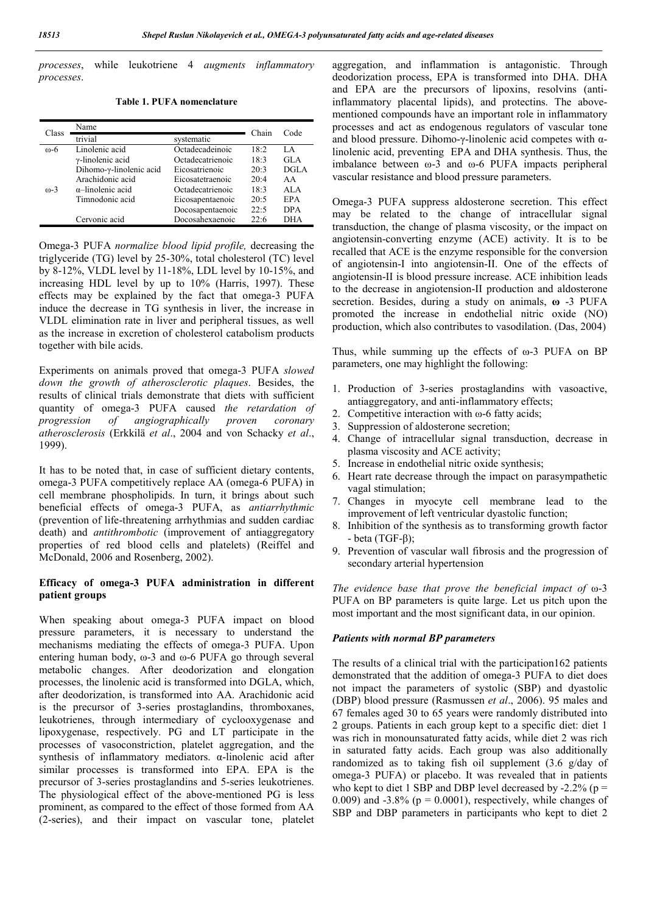*processes*, while leukotriene 4 *augments inflammatory processes*.

**Table 1. PUFA nomenclature**

| Chain<br>Class<br>trivial<br>systematic<br>Linolenic acid<br>Octadecadeinoic<br>18:2<br>$\omega$ -6<br>$\gamma$ -linolenic acid<br>Octadecatrienoic<br>18:3<br>Eicosatrienoic<br>20:3 | Code<br>LA<br>GLA |
|---------------------------------------------------------------------------------------------------------------------------------------------------------------------------------------|-------------------|
|                                                                                                                                                                                       |                   |
|                                                                                                                                                                                       |                   |
|                                                                                                                                                                                       |                   |
| Dihomo-y-linolenic acid                                                                                                                                                               | DGLA              |
| Arachidonic acid<br>20:4<br>Eicosatetraenoic                                                                                                                                          | AA                |
| $\alpha$ -linolenic acid<br>Octadecatrienoic<br>18:3<br>$m-3$                                                                                                                         | ALA               |
| Timnodonic acid<br>20:5<br>Eicosapentaenoic                                                                                                                                           | EPA               |
| Docosapentaenoic<br>22.5                                                                                                                                                              | <b>DPA</b>        |
| Docosahexaenoic<br>Cervonic acid<br>22.6                                                                                                                                              | <b>DHA</b>        |

Omega-3 PUFA *normalize blood lipid profile,* decreasing the triglyceride (TG) level by 25-30%, total cholesterol (TC) level by 8-12%, VLDL level by 11-18%, LDL level by 10-15%, and increasing HDL level by up to 10% (Harris, 1997). These effects may be explained by the fact that omega-3 PUFA induce the decrease in TG synthesis in liver, the increase in VLDL elimination rate in liver and peripheral tissues, as well as the increase in excretion of cholesterol catabolism products together with bile acids.

Experiments on animals proved that omega-3 PUFA *slowed down the growth of atherosclerotic plaques*. Besides, the results of clinical trials demonstrate that diets with sufficient quantity of omega-3 PUFA caused *the retardation of progression of angiographically proven coronary atherosclerosis* (Erkkilä *et al*., 2004 and von Schacky *et al*., 1999).

It has to be noted that, in case of sufficient dietary contents, omega-3 PUFA competitively replace AA (omega-6 PUFA) in cell membrane phospholipids. In turn, it brings about such beneficial effects of omega-3 PUFA, as *antiarrhythmic* (prevention of life-threatening arrhythmias and sudden cardiac death) and *antithrombotic* (improvement of antiaggregatory properties of red blood cells and platelets) (Reiffel and McDonald, 2006 and Rosenberg, 2002).

#### **Efficacy of omega-3 PUFA administration in different patient groups**

When speaking about omega-3 PUFA impact on blood pressure parameters, it is necessary to understand the mechanisms mediating the effects of omega-3 PUFA. Upon entering human body, ω-3 and ω-6 PUFA go through several metabolic changes. After deodorization and elongation processes, the linolenic acid is transformed into DGLA, which, after deodorization, is transformed into АА. Arachidonic acid is the precursor of 3-series prostaglandins, thromboxanes, leukotrienes, through intermediary of cyclooxygenase and lipoxygenase, respectively. PG and LT participate in the processes of vasoconstriction, platelet aggregation, and the synthesis of inflammatory mediators. α-linolenic acid after similar processes is transformed into ЕРА. EPA is the precursor of 3-series prostaglandins and 5-series leukotrienes. The physiological effect of the above-mentioned PG is less prominent, as compared to the effect of those formed from AA (2-series), and their impact on vascular tone, platelet aggregation, and inflammation is antagonistic. Through deodorization process, EPA is transformed into DHA. DHA and EPA are the precursors of lipoxins, resolvins (antiinflammatory placental lipids), and protectins. The abovementioned compounds have an important role in inflammatory processes and act as endogenous regulators of vascular tone and blood pressure. Dihomo- $\gamma$ -linolenic acid competes with  $\alpha$ linolenic acid, preventing EPA and DHA synthesis. Thus, the imbalance between ω-3 and ω-6 PUFA impacts peripheral vascular resistance and blood pressure parameters.

Omega-3 PUFA suppress aldosterone secretion. This effect may be related to the change of intracellular signal transduction, the change of plasma viscosity, or the impact on angiotensin-converting enzyme (ACE) activity. It is to be recalled that ACE is the enzyme responsible for the conversion of angiotensin-I into angiotensin-II. One of the effects of angiotensin-II is blood pressure increase. ACE inhibition leads to the decrease in angiotension-II production and aldosterone secretion. Besides, during a study on animals, **ω** -3 PUFA promoted the increase in endothelial nitric oxide (NO) production, which also contributes to vasodilation. (Das, 2004)

Thus, while summing up the effects of  $\omega$ -3 PUFA on BP parameters, one may highlight the following:

- 1. Production of 3-series prostaglandins with vasoactive, antiaggregatory, and anti-inflammatory effects;
- 2. Competitive interaction with ω-6 fatty acids;
- 3. Suppression of aldosterone secretion;
- 4. Change of intracellular signal transduction, decrease in plasma viscosity and ACE activity;
- 5. Increase in endothelial nitric oxide synthesis;
- 6. Heart rate decrease through the impact on parasympathetic vagal stimulation;
- 7. Changes in myocyte cell membrane lead to the improvement of left ventricular dyastolic function;
- 8. Inhibition of the synthesis as to transforming growth factor - beta (TGF-β);
- 9. Prevention of vascular wall fibrosis and the progression of secondary arterial hypertension

*The evidence base that prove the beneficial impact of* ω-3 PUFA on BP parameters is quite large. Let us pitch upon the most important and the most significant data, in our opinion.

## *Patients with normal BP parameters*

The results of a clinical trial with the participation162 patients demonstrated that the addition of omega-3 PUFA to diet does not impact the parameters of systolic (SBP) and dyastolic (DBP) blood pressure (Rasmussen *et al*., 2006). 95 males and 67 females aged 30 to 65 years were randomly distributed into 2 groups. Patients in each group kept to a specific diet: diet 1 was rich in monounsaturated fatty acids, while diet 2 was rich in saturated fatty acids. Each group was also additionally randomized as to taking fish oil supplement (3.6 g/day of omega-3 PUFA) or placebo. It was revealed that in patients who kept to diet 1 SBP and DBP level decreased by  $-2.2\%$  (p = 0.009) and  $-3.8\%$  ( $p = 0.0001$ ), respectively, while changes of SBP and DBP parameters in participants who kept to diet 2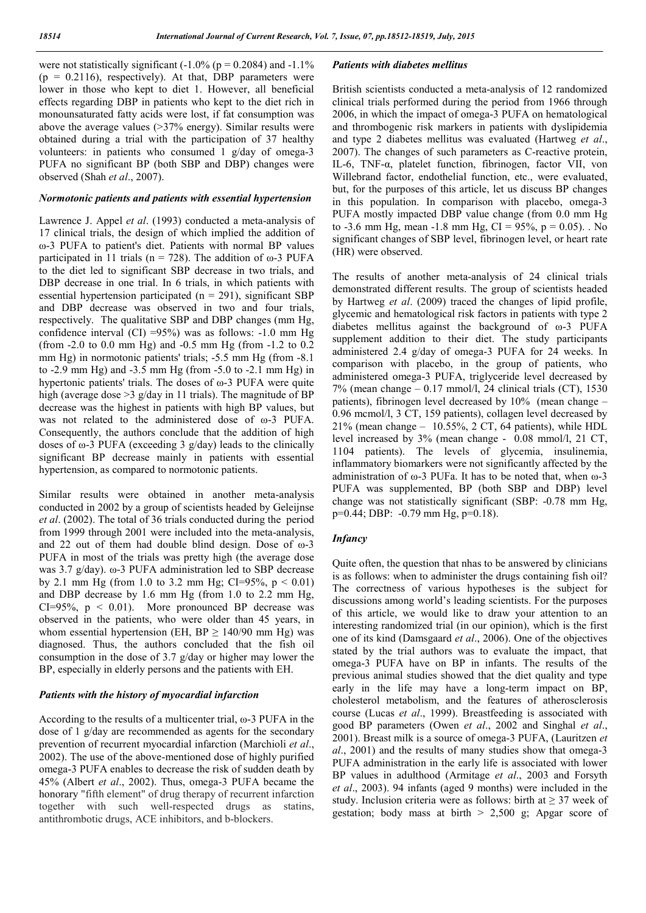were not statistically significant  $(-1.0\%$  (p = 0.2084) and  $-1.1\%$  $(p = 0.2116)$ , respectively). At that, DBP parameters were lower in those who kept to diet 1. However, all beneficial effects regarding DBP in patients who kept to the diet rich in monounsaturated fatty acids were lost, if fat consumption was above the average values (>37% energy). Similar results were obtained during a trial with the participation of 37 healthy volunteers: in patients who consumed 1 g/day of omega-3 PUFA no significant BP (both SBP and DBP) changes were observed (Shah *et al*., 2007).

## *Normotonic patients and patients with essential hypertension*

Lawrence J. Appel *et al*. (1993) conducted a meta-analysis of 17 clinical trials, the design of which implied the addition of ω-3 PUFA to patient's diet. Patients with normal BP values participated in 11 trials (n = 728). The addition of  $\omega$ -3 PUFA to the diet led to significant SBP decrease in two trials, and DBP decrease in one trial. In 6 trials, in which patients with essential hypertension participated ( $n = 291$ ), significant SBP and DBP decrease was observed in two and four trials, respectively. The qualitative SBP and DBP changes (mm Hg, confidence interval (CI) =95%) was as follows:  $-1.0$  mm Hg (from -2.0 to 0.0 mm Hg) and -0.5 mm Hg (from -1.2 to 0.2 mm Hg) in normotonic patients' trials; -5.5 mm Hg (from -8.1 to -2.9 mm Hg) and -3.5 mm Hg (from -5.0 to -2.1 mm Hg) in hypertonic patients' trials. The doses of ω-3 PUFA were quite high (average dose > 3 g/day in 11 trials). The magnitude of BP decrease was the highest in patients with high BP values, but was not related to the administered dose of ω-3 PUFA. Consequently, the authors conclude that the addition of high doses of  $\omega$ -3 PUFA (exceeding 3 g/day) leads to the clinically significant BP decrease mainly in patients with essential hypertension, as compared to normotonic patients.

Similar results were obtained in another meta-analysis conducted in 2002 by a group of scientists headed by Geleijnse *et al*. (2002). The total of 36 trials conducted during the period from 1999 through 2001 were included into the meta-analysis, and 22 out of them had double blind design. Dose of ω-3 PUFA in most of the trials was pretty high (the average dose was 3.7 g/day). ω-3 PUFA administration led to SBP decrease by 2.1 mm Hg (from 1.0 to 3.2 mm Hg; CI=95%,  $p < 0.01$ ) and DBP decrease by 1.6 mm Hg (from 1.0 to 2.2 mm Hg,  $CI=95\%$ ,  $p < 0.01$ ). More pronounced BP decrease was observed in the patients, who were older than 45 years, in whom essential hypertension (EH,  $BP \ge 140/90$  mm Hg) was diagnosed. Thus, the authors concluded that the fish oil consumption in the dose of 3.7 g/day or higher may lower the BP, especially in elderly persons and the patients with EH.

## *Patients with the history of myocardial infarction*

According to the results of a multicenter trial, ω-3 PUFA in the dose of 1 g/day are recommended as agents for the secondary prevention of recurrent myocardial infarction (Marchioli *et al*., 2002). The use of the above-mentioned dose of highly purified omega-3 PUFA enables to decrease the risk of sudden death by 45% (Albert *et al*., 2002). Thus, omega-3 PUFA became the honorary "fifth element" of drug therapy of recurrent infarction together with such well-respected drugs as statins, antithrombotic drugs, ACE inhibitors, and b-blockers.

#### *Patients with diabetes mellitus*

British scientists conducted a meta-analysis of 12 randomized clinical trials performed during the period from 1966 through 2006, in which the impact of omega-3 PUFA on hematological and thrombogenic risk markers in patients with dyslipidemia and type 2 diabetes mellitus was evaluated (Hartweg *et al*., 2007). The changes of such parameters as С-reactive protein, IL-6, TNF-α, platelet function, fibrinogen, factor VII, von Willebrand factor, endothelial function, etc., were evaluated, but, for the purposes of this article, let us discuss BP changes in this population. In comparison with placebo, omega-3 PUFA mostly impacted DBP value change (from 0.0 mm Hg to -3.6 mm Hg, mean -1.8 mm Hg, CI =  $95\%$ , p = 0.05). No significant changes of SBP level, fibrinogen level, or heart rate (HR) were observed.

The results of another meta-analysis of 24 clinical trials demonstrated different results. The group of scientists headed by Hartweg *et al*. (2009) traced the changes of lipid profile, glycemic and hematological risk factors in patients with type 2 diabetes mellitus against the background of ω-3 PUFA supplement addition to their diet. The study participants administered 2.4 g/day of omega-3 PUFA for 24 weeks. In comparison with placebo, in the group of patients, who administered omega-3 PUFA, triglyceride level decreased by  $7\%$  (mean change – 0.17 mmol/l, 24 clinical trials (CT), 1530 patients), fibrinogen level decreased by 10% (mean change – 0.96 mcmol/l, 3 CT, 159 patients), collagen level decreased by  $21\%$  (mean change – 10.55%, 2 CT, 64 patients), while HDL level increased by 3% (mean change - 0.08 mmol/l, 21 CT, 1104 patients). The levels of glycemia, insulinemia, inflammatory biomarkers were not significantly affected by the administration of ω-3 PUFa. It has to be noted that, when ω-3 PUFA was supplemented, BP (both SBP and DBP) level change was not statistically significant (SBP: -0.78 mm Hg, р=0.44; DBP: -0.79 mm Hg, р=0.18).

## *Infancy*

Quite often, the question that nhas to be answered by clinicians is as follows: when to administer the drugs containing fish oil? The correctness of various hypotheses is the subject for discussions among world's leading scientists. For the purposes of this article, we would like to draw your attention to an interesting randomized trial (in our opinion), which is the first one of its kind (Damsgaard *et al*., 2006). One of the objectives stated by the trial authors was to evaluate the impact, that omega-3 PUFA have on BP in infants. The results of the previous animal studies showed that the diet quality and type early in the life may have a long-term impact on BP, cholesterol metabolism, and the features of atherosclerosis course (Lucas *et al*., 1999). Breastfeeding is associated with good BP parameters (Owen *et al*., 2002 and Singhal *et al*., 2001). Breast milk is a source of omega-3 PUFA, (Lauritzen *et al*., 2001) and the results of many studies show that omega-3 PUFA administration in the early life is associated with lower BP values in adulthood (Armitage *et al*., 2003 and Forsyth *et al*., 2003). 94 infants (aged 9 months) were included in the study. Inclusion criteria were as follows: birth at  $\geq$  37 week of gestation; body mass at birth  $> 2,500$  g; Apgar score of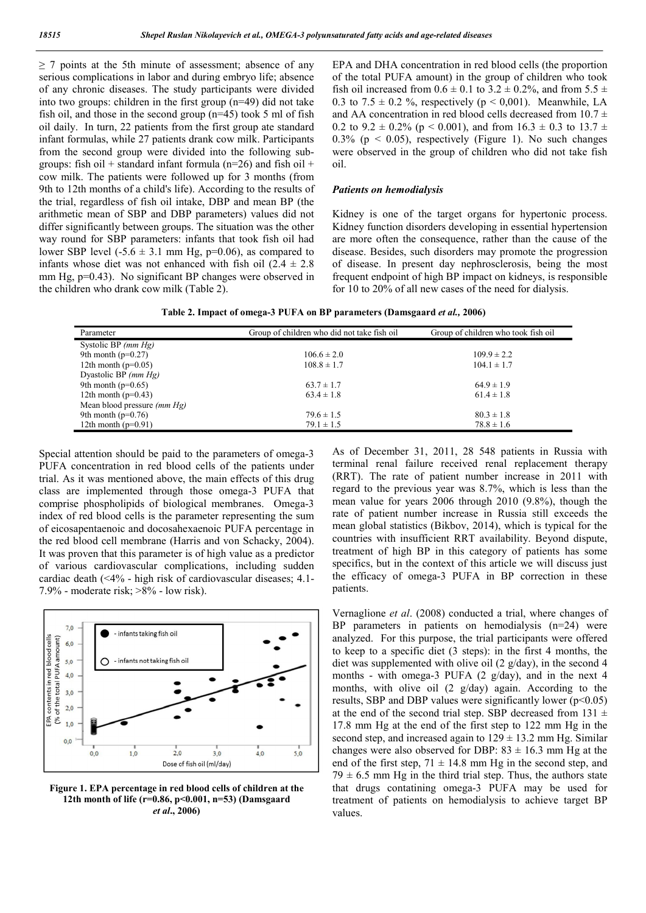$\geq$  7 points at the 5th minute of assessment; absence of any serious complications in labor and during embryo life; absence of any chronic diseases. The study participants were divided into two groups: children in the first group (n=49) did not take fish oil, and those in the second group (n=45) took 5 ml of fish oil daily. In turn, 22 patients from the first group ate standard infant formulas, while 27 patients drank cow milk. Participants from the second group were divided into the following subgroups: fish oil + standard infant formula ( $n=26$ ) and fish oil + cow milk. The patients were followed up for 3 months (from 9th to 12th months of a child's life). According to the results of the trial, regardless of fish oil intake, DBP and mean BP (the arithmetic mean of SBP and DBP parameters) values did not differ significantly between groups. The situation was the other way round for SBP parameters: infants that took fish oil had lower SBP level  $(-5.6 \pm 3.1 \text{ mm Hg}, \text{p=0.06})$ , as compared to infants whose diet was not enhanced with fish oil  $(2.4 \pm 2.8)$ mm Hg,  $p=0.43$ ). No significant BP changes were observed in the children who drank cow milk (Table 2).

EPA and DHA concentration in red blood cells (the proportion of the total PUFA amount) in the group of children who took fish oil increased from  $0.6 \pm 0.1$  to  $3.2 \pm 0.2$ %, and from  $5.5 \pm$ 0.3 to 7.5  $\pm$  0.2 %, respectively (p < 0,001). Meanwhile, LA and AA concentration in red blood cells decreased from  $10.7 \pm$ 0.2 to  $9.2 \pm 0.2\%$  (p < 0.001), and from  $16.3 \pm 0.3$  to  $13.7 \pm 0.3$ 0.3% ( $p \le 0.05$ ), respectively (Figure 1). No such changes were observed in the group of children who did not take fish oil.

#### *Patients on hemodialysis*

Kidney is one of the target organs for hypertonic process. Kidney function disorders developing in essential hypertension are more often the consequence, rather than the cause of the disease. Besides, such disorders may promote the progression of disease. In present day nephrosclerosis, being the most frequent endpoint of high BP impact on kidneys, is responsible for 10 to 20% of all new cases of the need for dialysis.

| Table 2. Impact of omega-3 PUFA on BP parameters (Damsgaard et al., 2006) |  |  |  |  |  |  |  |  |
|---------------------------------------------------------------------------|--|--|--|--|--|--|--|--|
|---------------------------------------------------------------------------|--|--|--|--|--|--|--|--|

| Parameter                     | Group of children who did not take fish oil | Group of children who took fish oil |
|-------------------------------|---------------------------------------------|-------------------------------------|
| Systolic BP $(mm Hg)$         |                                             |                                     |
| 9th month ( $p=0.27$ )        | $106.6 \pm 2.0$                             | $109.9 \pm 2.2$                     |
| 12th month ( $p=0.05$ )       | $108.8 \pm 1.7$                             | $104.1 \pm 1.7$                     |
| Dyastolic BP $(mm Hg)$        |                                             |                                     |
| 9th month ( $p=0.65$ )        | $63.7 \pm 1.7$                              | $64.9 \pm 1.9$                      |
| 12th month $(p=0.43)$         | $63.4 \pm 1.8$                              | $61.4 \pm 1.8$                      |
| Mean blood pressure $(mm Hg)$ |                                             |                                     |
| 9th month ( $p=0.76$ )        | $79.6 \pm 1.5$                              | $80.3 \pm 1.8$                      |
| 12th month $(p=0.91)$         | $79.1 \pm 1.5$                              | $78.8 \pm 1.6$                      |

Special attention should be paid to the parameters of omega-3 PUFA concentration in red blood cells of the patients under trial. As it was mentioned above, the main effects of this drug class are implemented through those omega-3 PUFA that comprise phospholipids of biological membranes. Omega-3 index of red blood cells is the parameter representing the sum of eicosapentaenoic and docosahexaenoic PUFA percentage in the red blood cell membrane (Harris and von Schacky, 2004). It was proven that this parameter is of high value as a predictor of various cardiovascular complications, including sudden cardiac death (<4% - high risk of cardiovascular diseases; 4.1- 7.9% - moderate risk;  $>8\%$  - low risk).



**Figure 1. EPA percentage in red blood cells of children at the 12th month of life (r=0.86, p<0.001, n=53) (Damsgaard**  *et al***., 2006)**

As of December 31, 2011, 28 548 patients in Russia with terminal renal failure received renal replacement therapy (RRT). The rate of patient number increase in 2011 with regard to the previous year was 8.7%, which is less than the mean value for years 2006 through 2010 (9.8%), though the rate of patient number increase in Russia still exceeds the mean global statistics (Bikbov, 2014), which is typical for the countries with insufficient RRT availability. Beyond dispute, treatment of high BP in this category of patients has some specifics, but in the context of this article we will discuss just the efficacy of omega-3 PUFA in BP correction in these patients.

Vernaglione *et al*. (2008) conducted a trial, where changes of BP parameters in patients on hemodialysis (n=24) were analyzed. For this purpose, the trial participants were offered to keep to a specific diet (3 steps): in the first 4 months, the diet was supplemented with olive oil (2 g/day), in the second 4 months - with omega-3 PUFA (2 g/day), and in the next 4 months, with olive oil (2 g/day) again. According to the results, SBP and DBP values were significantly lower  $(p<0.05)$ at the end of the second trial step. SBP decreased from 131  $\pm$ 17.8 mm Hg at the end of the first step to 122 mm Hg in the second step, and increased again to  $129 \pm 13.2$  mm Hg. Similar changes were also observed for DBP:  $83 \pm 16.3$  mm Hg at the end of the first step,  $71 \pm 14.8$  mm Hg in the second step, and  $79 \pm 6.5$  mm Hg in the third trial step. Thus, the authors state that drugs contatining omega-3 PUFA may be used for treatment of patients on hemodialysis to achieve target BP values.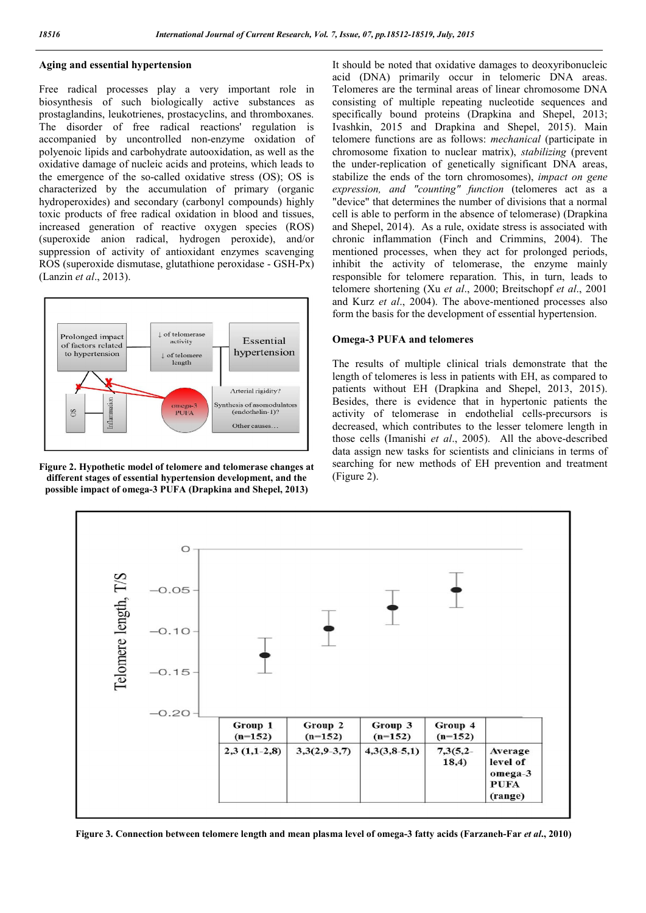#### **Aging and essential hypertension**

Free radical processes play a very important role in biosynthesis of such biologically active substances as prostaglandins, leukotrienes, prostacyclins, and thromboxanes. The disorder of free radical reactions' regulation is accompanied by uncontrolled non-enzyme oxidation of polyenoic lipids and carbohydrate autooxidation, as well as the oxidative damage of nucleic acids and proteins, which leads to the emergence of the so-called oxidative stress (OS); OS is characterized by the accumulation of primary (organic hydroperoxides) and secondary (carbonyl compounds) highly toxic products of free radical oxidation in blood and tissues, increased generation of reactive oxygen species (ROS) (superoxide anion radical, hydrogen peroxide), and/or suppression of activity of antioxidant enzymes scavenging ROS (superoxide dismutase, glutathione peroxidase - GSH-Px) (Lanzin *et al*., 2013).



**Figure 2. Hypothetic model of telomere and telomerase changes at different stages of essential hypertension development, and the possible impact of omega-3 PUFA (Drapkina and Shepel, 2013)**

It should be noted that oxidative damages to deoxyribonucleic acid (DNA) primarily occur in telomeric DNA areas. Telomeres are the terminal areas of linear chromosome DNA consisting of multiple repeating nucleotide sequences and specifically bound proteins (Drapkina and Shepel, 2013; Ivashkin, 2015 and Drapkina and Shepel, 2015). Main telomere functions are as follows: *mechanical* (participate in chromosome fixation to nuclear matrix), *stabilizing* (prevent the under-replication of genetically significant DNA areas, stabilize the ends of the torn chromosomes), *impact on gene expression, and "counting" function* (telomeres act as a "device" that determines the number of divisions that a normal cell is able to perform in the absence of telomerase) (Drapkina and Shepel, 2014). As a rule, oxidate stress is associated with chronic inflammation (Finch and Crimmins, 2004). The mentioned processes, when they act for prolonged periods, inhibit the activity of telomerase, the enzyme mainly responsible for telomere reparation. This, in turn, leads to telomere shortening (Xu *et al*., 2000; Breitschopf *et al*., 2001 and Kurz *et al*., 2004). The above-mentioned processes also form the basis for the development of essential hypertension.

#### **Omega-3 PUFA and telomeres**

The results of multiple clinical trials demonstrate that the length of telomeres is less in patients with EH, as compared to patients without EH (Drapkina and Shepel, 2013, 2015). Besides, there is evidence that in hypertonic patients the activity of telomerase in endothelial cells-precursors is decreased, which contributes to the lesser telomere length in those cells (Imanishi *et al*., 2005). All the above-described data assign new tasks for scientists and clinicians in terms of searching for new methods of EH prevention and treatment (Figure 2).



**Figure 3. Connection between telomere length and mean plasma level of omega-3 fatty acids (Farzaneh-Far** *et al***., 2010)**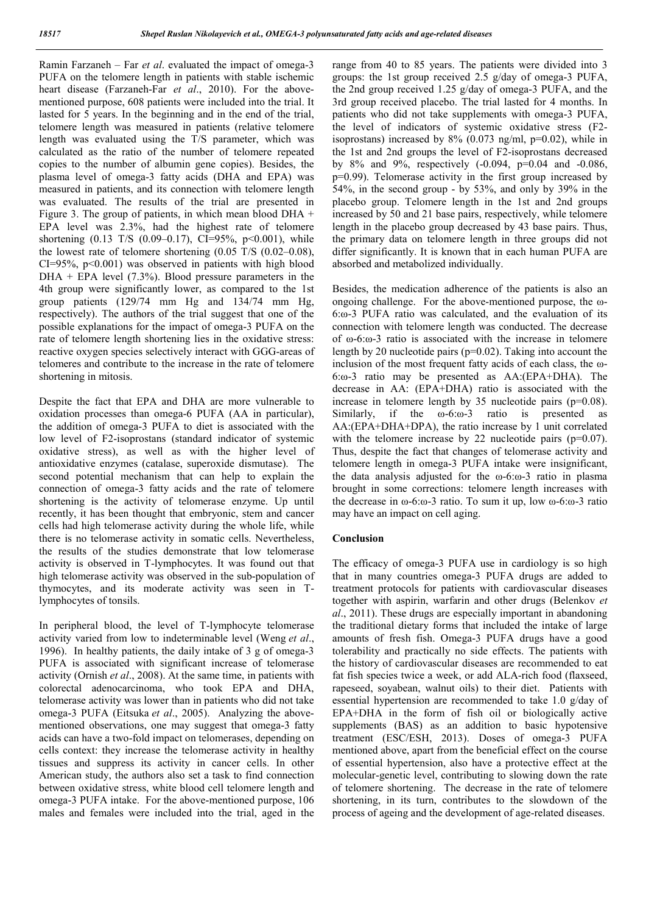Ramin Farzaneh – Far *et al*. evaluated the impact of omega-3 PUFA on the telomere length in patients with stable ischemic heart disease (Farzaneh-Far *et al*., 2010). For the abovementioned purpose, 608 patients were included into the trial. It lasted for 5 years. In the beginning and in the end of the trial, telomere length was measured in patients (relative telomere length was evaluated using the T/S parameter, which was calculated as the ratio of the number of telomere repeated copies to the number of albumin gene copies). Besides, the plasma level of omega-3 fatty acids (DHA and EPA) was measured in patients, and its connection with telomere length was evaluated. The results of the trial are presented in Figure 3. The group of patients, in which mean blood DHA + EPA level was 2.3%, had the highest rate of telomere shortening  $(0.13 \text{ T/S } (0.09-0.17), \text{ CI=95\%, } p<0.001), \text{ while}$ the lowest rate of telomere shortening (0.05 T/S (0.02–0.08),  $CI=95\%$ ,  $p<0.001$ ) was observed in patients with high blood  $DHA$  + EPA level (7.3%). Blood pressure parameters in the 4th group were significantly lower, as compared to the 1st group patients (129/74 mm Hg and 134/74 mm Hg, respectively). The authors of the trial suggest that one of the possible explanations for the impact of omega-3 PUFA on the rate of telomere length shortening lies in the oxidative stress: reactive oxygen species selectively interact with GGG-areas of telomeres and contribute to the increase in the rate of telomere shortening in mitosis.

Despite the fact that EPA and DHA are more vulnerable to oxidation processes than omega-6 PUFA (AA in particular), the addition of omega-3 PUFA to diet is associated with the low level of F2-isoprostans (standard indicator of systemic oxidative stress), as well as with the higher level of antioxidative enzymes (catalase, superoxide dismutase). The second potential mechanism that can help to explain the connection of omega-3 fatty acids and the rate of telomere shortening is the activity of telomerase enzyme. Up until recently, it has been thought that embryonic, stem and cancer cells had high telomerase activity during the whole life, while there is no telomerase activity in somatic cells. Nevertheless, the results of the studies demonstrate that low telomerase activity is observed in T-lymphocytes. It was found out that high telomerase activity was observed in the sub-population of thymocytes, and its moderate activity was seen in Tlymphocytes of tonsils.

In peripheral blood, the level of T-lymphocyte telomerase activity varied from low to indeterminable level (Weng *et al*., 1996). In healthy patients, the daily intake of 3 g of omega-3 PUFA is associated with significant increase of telomerase activity (Ornish *et al*., 2008). At the same time, in patients with colorectal adenocarcinoma, who took EPA and DHA, telomerase activity was lower than in patients who did not take omega-3 PUFA (Eitsuka *et al*., 2005). Analyzing the abovementioned observations, one may suggest that omega-3 fatty acids can have a two-fold impact on telomerases, depending on cells context: they increase the telomerase activity in healthy tissues and suppress its activity in cancer cells. In other American study, the authors also set a task to find connection between oxidative stress, white blood cell telomere length and omega-3 PUFA intake. For the above-mentioned purpose, 106 males and females were included into the trial, aged in the range from 40 to 85 years. The patients were divided into 3 groups: the 1st group received 2.5 g/day of omega-3 PUFA, the 2nd group received 1.25 g/day of omega-3 PUFA, and the 3rd group received placebo. The trial lasted for 4 months. In patients who did not take supplements with omega-3 PUFA, the level of indicators of systemic oxidative stress (F2 isoprostans) increased by  $8\%$  (0.073 ng/ml, p=0.02), while in the 1st and 2nd groups the level of F2-isoprostans decreased by 8% and 9%, respectively (-0.094, р=0.04 and -0.086, р=0.99). Telomerase activity in the first group increased by 54%, in the second group - by 53%, and only by 39% in the placebo group. Telomere length in the 1st and 2nd groups increased by 50 and 21 base pairs, respectively, while telomere length in the placebo group decreased by 43 base pairs. Thus, the primary data on telomere length in three groups did not differ significantly. It is known that in each human PUFA are absorbed and metabolized individually.

Besides, the medication adherence of the patients is also an ongoing challenge. For the above-mentioned purpose, the ω-6:ω-3 PUFA ratio was calculated, and the evaluation of its connection with telomere length was conducted. The decrease of ω-6:ω-3 ratio is associated with the increase in telomere length by 20 nucleotide pairs (p=0.02). Taking into account the inclusion of the most frequent fatty acids of each class, the ω-6:ω-3 ratio may be presented as АА:(EPA+DHA). The decrease in АА: (EPA+DHA) ratio is associated with the increase in telomere length by 35 nucleotide pairs (p=0.08). Similarly, if the ω-6:ω-3 ratio is presented as АА:(EPA+DHA+DPA), the ratio increase by 1 unit correlated with the telomere increase by 22 nucleotide pairs  $(p=0.07)$ . Thus, despite the fact that changes of telomerase activity and telomere length in omega-3 PUFA intake were insignificant, the data analysis adjusted for the  $\omega$ -6: $\omega$ -3 ratio in plasma brought in some corrections: telomere length increases with the decrease in ω-6:ω-3 ratio. To sum it up, low ω-6:ω-3 ratio may have an impact on cell aging.

## **Conclusion**

The efficacy of omega-3 PUFA use in cardiology is so high that in many countries omega-3 PUFA drugs are added to treatment protocols for patients with cardiovascular diseases together with aspirin, warfarin and other drugs (Belenkov *et al*., 2011). These drugs are especially important in abandoning the traditional dietary forms that included the intake of large amounts of fresh fish. Omega-3 PUFA drugs have a good tolerability and practically no side effects. The patients with the history of cardiovascular diseases are recommended to eat fat fish species twice a week, or add ALA-rich food (flaxseed, rapeseed, soyabean, walnut oils) to their diet. Patients with essential hypertension are recommended to take 1.0 g/day of EPA+DHA in the form of fish oil or biologically active supplements (BAS) as an addition to basic hypotensive treatment (ESC/ESH, 2013). Doses of omega-3 PUFA mentioned above, apart from the beneficial effect on the course of essential hypertension, also have a protective effect at the molecular-genetic level, contributing to slowing down the rate of telomere shortening. The decrease in the rate of telomere shortening, in its turn, contributes to the slowdown of the process of ageing and the development of age-related diseases.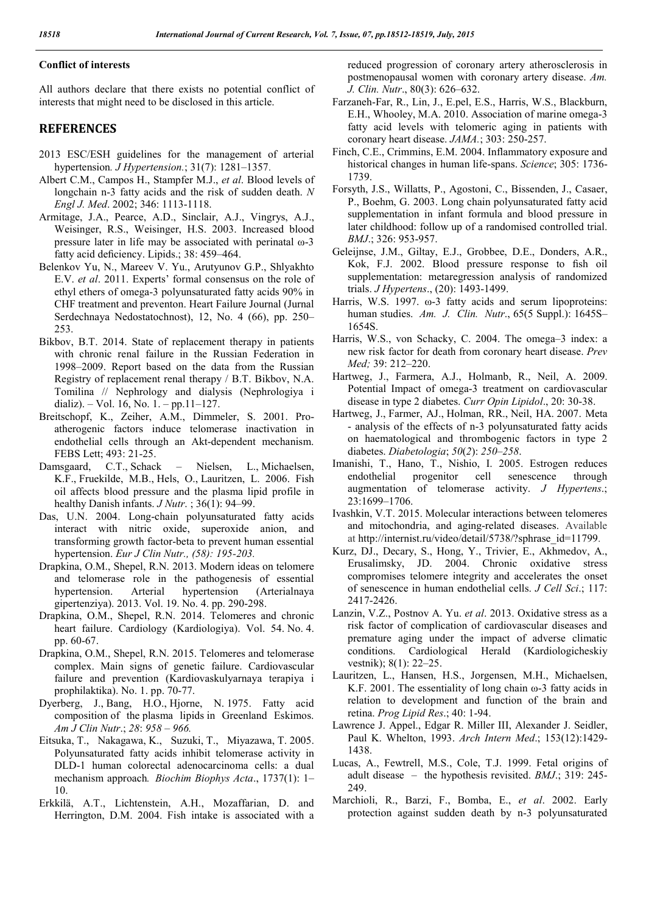#### **Conflict of interests**

All authors declare that there exists no potential conflict of interests that might need to be disclosed in this article.

#### **REFERENCES**

- 2013 ESC/ESH guidelines for the management of arterial hypertension*. J Hypertension.*; 31(7): 1281–1357.
- Albert C.M., Campos H., Stampfer M.J., *et al*. Blood levels of longchain n-3 fatty acids and the risk of sudden death. *N Engl J. Med*. 2002; 346: 1113-1118.
- Armitage, J.A., Pearce, A.D., Sinclair, A.J., Vingrys, A.J., Weisinger, R.S., Weisinger, H.S. 2003. Increased blood pressure later in life may be associated with perinatal ω-3 fatty acid deficiency. Lipids.; 38: 459–464.
- Belenkov Yu, N., Mareev V. Yu., Arutyunov G.P., Shlyakhto E.V. *et al*. 2011. Experts' formal consensus on the role of ethyl ethers of omega-3 polyunsaturated fatty acids 90% in CHF treatment and preventon. Heart Failure Journal (Jurnal Serdechnaya Nedostatochnost), 12, No. 4 (66), pp. 250– 253.
- Bikbov, B.T. 2014. State of replacement therapy in patients with chronic renal failure in the Russian Federation in 1998–2009. Report based on the data from the Russian Registry of replacement renal therapy / B.T. Bikbov, N.A. Tomilina // Nephrology and dialysis (Nephrologiya i dializ).  $-$  Vol. 16, No. 1.  $-$  pp.11–127.
- Breitschopf, K., Zeiher, A.M., Dimmeler, S. 2001. Proatherogenic factors induce telomerase inactivation in endothelial cells through an Akt-dependent mechanism. FEBS Lett; 493: 21-25.
- Damsgaard, C.T., Schack Nielsen, L., Michaelsen, K.F., Fruekilde, M.B., Hels, O., Lauritzen, L. 2006. Fish oil affects blood pressure and the plasma lipid profile in healthy Danish infants. *J Nutr*. ; 36(1): 94–99.
- Das, U.N. 2004. Long-chain polyunsaturated fatty acids interact with nitric oxide, superoxide anion, and transforming growth factor-beta to prevent human essential hypertension. *Eur J Clin Nutr., (58): 195-203.*
- Drapkina, O.M., Shepel, R.N. 2013. Modern ideas on telomere and telomerase role in the pathogenesis of essential hypertension. Arterial hypertension (Arterialnaya gipertenziya). 2013. Vol. 19. No. 4. pp. 290-298.
- Drapkina, O.M., Shepel, R.N. 2014. Telomeres and chronic heart failure. Cardiology (Kardiologiya). Vol. 54. No. 4. pp. 60-67.
- Drapkina, O.M., Shepel, R.N. 2015. Telomeres and telomerase complex. Main signs of genetic failure. Cardiovascular failure and prevention (Kardiovaskulyarnaya terapiya i prophilaktika). No. 1. pp. 70-77.
- Dyerberg, J., Bang, H.O., Hjorne, N. 1975. Fatty acid composition of the plasma lipids in Greenland Eskimos. *Am J Clin Nutr*.; *28*: *958* – *966.*
- Eitsuka, T., Nakagawa, K., Suzuki, T., Miyazawa, T. 2005. Polyunsaturated fatty acids inhibit telomerase activity in DLD-1 human colorectal adenocarcinoma cells: a dual mechanism approach*. Biochim Biophys Acta*., 1737(1): 1– 10.
- Erkkilä, A.T., Lichtenstein, A.H., Mozaffarian, D. and Herrington, D.M. 2004. Fish intake is associated with a

reduced progression of сoronary artery atherosclerosis in postmenopausal women with coronary artery disease. *Am. J. Clin. Nutr*., 80(3): 626–632.

- Farzaneh-Far, R., Lin, J., E.pel, E.S., Harris, W.S., Blackburn, E.H., Whooley, M.A. 2010. Association of marine omega-3 fatty acid levels with telomeric aging in patients with coronary heart disease. *JAMA.*; 303: 250-257.
- Finch, C.E., Crimmins, E.M. 2004. Inflammatory exposure and historical changes in human life-spans. *Science*; 305: 1736- 1739.
- Forsyth, J.S., Willatts, P., Agostoni, C., Bissenden, J., Casaer, P., Boehm, G. 2003. Long chain polyunsaturated fatty acid supplementation in infant formula and blood pressure in later childhood: follow up of a randomised controlled trial. *BMJ*.; 326: 953-957.
- Geleijnse, J.M., Giltay, E.J., Grobbee, D.E., Donders, A.R., Kok, F.J. 2002. Blood pressure response to fish oil supplementation: metaregression analysis of randomized trials. *J Hypertens*., (20): 1493-1499.
- Harris, W.S. 1997. ω-3 fatty acids and serum lipoproteins: human studies. *Am. J. Clin. Nutr*., 65(5 Suppl.): 1645S– 1654S.
- Harris, W.S., von Schacky, C. 2004. The omega–3 index: a new risk factor for death from coronary heart disease. *Prev Med;* 39: 212–220.
- Hartweg, J., Farmera, A.J., Holmanb, R., Neil, A. 2009. Potential Impact of omega-3 treatment on cardiovascular disease in type 2 diabetes. *Curr Opin Lipidol*., 20: 30-38.
- Hartweg, J., Farmer, AJ., Holman, RR., Neil, HA. 2007. Meta - analysis of the effects of n-3 polyunsaturated fatty acids on haematological and thrombogenic factors in type 2 diabetes. *Diabetologia*; *50*(*2*): *250*–*258*.
- Imanishi, T., Hano, T., Nishio, I. 2005. Estrogen reduces endothelial progenitor cell senescence through endothelial progenitor cell senescence through augmentation of telomerase activity. *J Hypertens*.; 23:1699–1706.
- Ivashkin, V.T. 2015. Molecular interactions between telomeres and mitochondria, and aging-related diseases. Available at http://internist.ru/video/detail/5738/?sphrase\_id=11799.
- Kurz, DJ., Decary, S., Hong, Y., Trivier, E., Akhmedov, A., Erusalimsky, JD. 2004. Chronic oxidative stress compromises telomere integrity and accelerates the onset of senescence in human endothelial cells. *J Cell Sci*.; 117: 2417-2426.
- Lanzin, V.Z., Postnov A. Yu. *et al*. 2013. Oxidative stress as a risk factor of complication of cardiovascular diseases and premature aging under the impact of adverse climatic conditions. Cardiological Herald (Kardiologicheskiy vestnik); 8(1): 22–25.
- Lauritzen, L., Hansen, H.S., Jorgensen, M.H., Michaelsen, K.F. 2001. The essentiality of long chain ω-3 fatty acids in relation to development and function of the brain and retina. *Prog Lipid Res*.; 40: 1-94.
- Lawrence J. Appel., Edgar R. Miller III, Аlexander J. Seidler, Paul K. Whelton, 1993. *Arch Intern Med*.; 153(12):1429- 1438.
- Lucas, A., Fewtrell, M.S., Cole, T.J. 1999. Fetal origins of adult disease – the hypothesis revisited. *BMJ*.; 319: 245- 249.
- Marchioli, R., Barzi, F., Bomba, E., *et al*. 2002. Early protection against sudden death by n-3 polyunsaturated